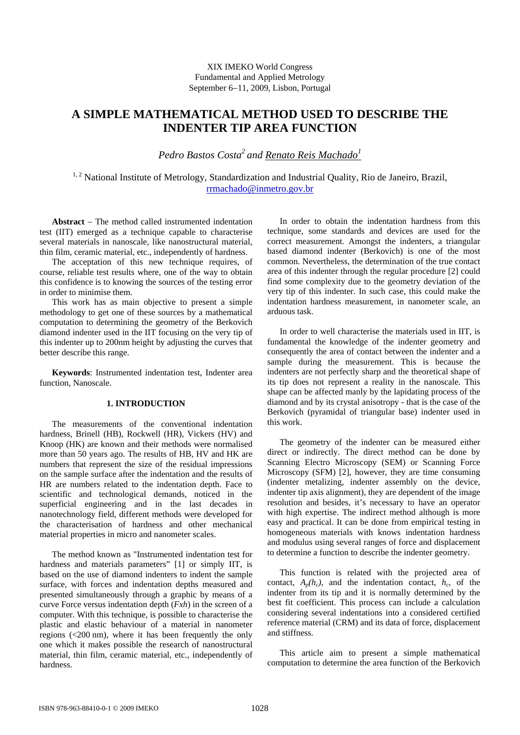# XIX IMEKO World Congress Fundamental and Applied Metrology September 6−11, 2009, Lisbon, Portugal

# **A SIMPLE MATHEMATICAL METHOD USED TO DESCRIBE THE INDENTER TIP AREA FUNCTION**

Pedro Bastos Costa<sup>2</sup> and <u>Renato Reis Machado<sup>1</sup></u>

<sup>1, 2</sup> National Institute of Metrology, Standardization and Industrial Quality, Rio de Janeiro, Brazil, rrmachado@inmetro.gov.br

**Abstract** − The method called instrumented indentation test (IIT) emerged as a technique capable to characterise several materials in nanoscale, like nanostructural material, thin film, ceramic material, etc., independently of hardness.

The acceptation of this new technique requires, of course, reliable test results where, one of the way to obtain this confidence is to knowing the sources of the testing error in order to minimise them.

This work has as main objective to present a simple methodology to get one of these sources by a mathematical computation to determining the geometry of the Berkovich diamond indenter used in the IIT focusing on the very tip of this indenter up to 200nm height by adjusting the curves that better describe this range.

**Keywords**: Instrumented indentation test, Indenter area function, Nanoscale.

# **1. INTRODUCTION**

The measurements of the conventional indentation hardness, Brinell (HB), Rockwell (HR), Vickers (HV) and Knoop (HK) are known and their methods were normalised more than 50 years ago. The results of HB, HV and HK are numbers that represent the size of the residual impressions on the sample surface after the indentation and the results of HR are numbers related to the indentation depth. Face to scientific and technological demands, noticed in the superficial engineering and in the last decades in nanotechnology field, different methods were developed for the characterisation of hardness and other mechanical material properties in micro and nanometer scales.

The method known as "Instrumented indentation test for hardness and materials parameters" [1] or simply IIT, is based on the use of diamond indenters to indent the sample surface, with forces and indentation depths measured and presented simultaneously through a graphic by means of a curve Force versus indentation depth (*Fxh*) in the screen of a computer. With this technique, is possible to characterise the plastic and elastic behaviour of a material in nanometer regions (<200 nm), where it has been frequently the only one which it makes possible the research of nanostructural material, thin film, ceramic material, etc., independently of hardness.

In order to obtain the indentation hardness from this technique, some standards and devices are used for the correct measurement. Amongst the indenters, a triangular based diamond indenter (Berkovich) is one of the most common. Nevertheless, the determination of the true contact area of this indenter through the regular procedure [2] could find some complexity due to the geometry deviation of the very tip of this indenter. In such case, this could make the indentation hardness measurement, in nanometer scale, an arduous task.

In order to well characterise the materials used in IIT, is fundamental the knowledge of the indenter geometry and consequently the area of contact between the indenter and a sample during the measurement. This is because the indenters are not perfectly sharp and the theoretical shape of its tip does not represent a reality in the nanoscale. This shape can be affected manly by the lapidating process of the diamond and by its crystal anisotropy - that is the case of the Berkovich (pyramidal of triangular base) indenter used in this work.

The geometry of the indenter can be measured either direct or indirectly. The direct method can be done by Scanning Electro Microscopy (SEM) or Scanning Force Microscopy (SFM) [2], however, they are time consuming (indenter metalizing, indenter assembly on the device, indenter tip axis alignment), they are dependent of the image resolution and besides, it's necessary to have an operator with high expertise. The indirect method although is more easy and practical. It can be done from empirical testing in homogeneous materials with knows indentation hardness and modulus using several ranges of force and displacement to determine a function to describe the indenter geometry.

This function is related with the projected area of contact,  $A_n(h_c)$ , and the indentation contact,  $h_c$ , of the indenter from its tip and it is normally determined by the best fit coefficient. This process can include a calculation considering several indentations into a considered certified reference material (CRM) and its data of force, displacement and stiffness.

This article aim to present a simple mathematical computation to determine the area function of the Berkovich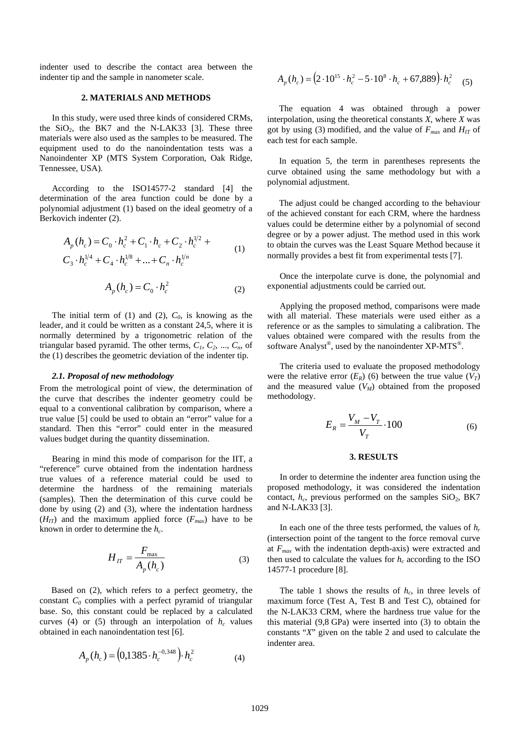indenter used to describe the contact area between the indenter tip and the sample in nanometer scale.

#### **2. MATERIALS AND METHODS**

In this study, were used three kinds of considered CRMs, the  $SiO<sub>2</sub>$ , the BK7 and the N-LAK33 [3]. These three materials were also used as the samples to be measured. The equipment used to do the nanoindentation tests was a Nanoindenter XP (MTS System Corporation, Oak Ridge, Tennessee, USA).

According to the ISO14577-2 standard [4] the determination of the area function could be done by a polynomial adjustment (1) based on the ideal geometry of a Berkovich indenter (2).

$$
A_p(h_c) = C_0 \cdot h_c^2 + C_1 \cdot h_c + C_2 \cdot h_c^{1/2} + C_3 \cdot h_c^{1/4} + C_4 \cdot h_c^{1/8} + \dots + C_n \cdot h_c^{1/n}
$$
  
\n
$$
A_p(h_c) = C_0 \cdot h_c^2
$$
 (2)

The initial term of  $(1)$  and  $(2)$ ,  $C_0$ , is knowing as the leader, and it could be written as a constant 24,5, where it is normally determined by a trigonometric relation of the triangular based pyramid. The other terms,  $C_1$ ,  $C_2$ , ...,  $C_n$ , of the (1) describes the geometric deviation of the indenter tip.

#### *2.1. Proposal of new methodology*

From the metrological point of view, the determination of the curve that describes the indenter geometry could be equal to a conventional calibration by comparison, where a true value [5] could be used to obtain an "error" value for a standard. Then this "error" could enter in the measured values budget during the quantity dissemination.

Bearing in mind this mode of comparison for the IIT, a "reference" curve obtained from the indentation hardness true values of a reference material could be used to determine the hardness of the remaining materials (samples). Then the determination of this curve could be done by using (2) and (3), where the indentation hardness  $(H_{IT})$  and the maximum applied force  $(F_{max})$  have to be known in order to determine the *hc*.

$$
H_{IT} = \frac{F_{\text{max}}}{A_p(h_c)}\tag{3}
$$

Based on (2), which refers to a perfect geometry, the constant  $C_0$  complies with a perfect pyramid of triangular base. So, this constant could be replaced by a calculated curves (4) or (5) through an interpolation of  $h_c$  values obtained in each nanoindentation test [6].

$$
A_p(h_c) = (0,1385 \cdot h_c^{-0.348}) \cdot h_c^2 \tag{4}
$$

$$
A_p(h_c) = (2 \cdot 10^{15} \cdot h_c^2 - 5 \cdot 10^8 \cdot h_c + 67,889) \cdot h_c^2
$$
 (5)

The equation 4 was obtained through a power interpolation, using the theoretical constants *X*, where *X* was got by using (3) modified, and the value of  $F_{max}$  and  $H_{IT}$  of each test for each sample.

In equation 5, the term in parentheses represents the curve obtained using the same methodology but with a polynomial adjustment.

The adjust could be changed according to the behaviour of the achieved constant for each CRM, where the hardness values could be determine either by a polynomial of second degree or by a power adjust. The method used in this work to obtain the curves was the Least Square Method because it normally provides a best fit from experimental tests [7].

Once the interpolate curve is done, the polynomial and exponential adjustments could be carried out.

Applying the proposed method, comparisons were made with all material. These materials were used either as a reference or as the samples to simulating a calibration. The values obtained were compared with the results from the software Analyst®, used by the nanoindenter XP-MTS®.

The criteria used to evaluate the proposed methodology were the relative error  $(E_R)$  (6) between the true value  $(V_T)$ and the measured value  $(V_M)$  obtained from the proposed methodology.

$$
E_R = \frac{V_M - V_T}{V_T} \cdot 100\tag{6}
$$

### **3. RESULTS**

In order to determine the indenter area function using the proposed methodology, it was considered the indentation contact, *h<sub>c</sub>*, previous performed on the samples SiO<sub>2</sub>, BK7 and N-LAK33 [3].

In each one of the three tests performed, the values of *hr* (intersection point of the tangent to the force removal curve at *Fmax* with the indentation depth-axis) were extracted and then used to calculate the values for  $h_c$  according to the ISO 14577-1 procedure [8].

The table 1 shows the results of  $h_c$ , in three levels of maximum force (Test A, Test B and Test C), obtained for the N-LAK33 CRM, where the hardness true value for the this material (9,8 GPa) were inserted into (3) to obtain the constants "*X*" given on the table 2 and used to calculate the indenter area.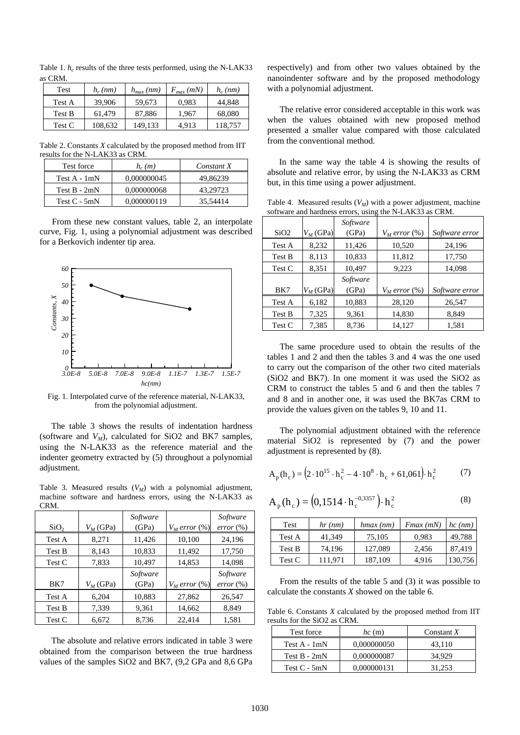Table 1.  $h_c$  results of the three tests performed, using the N-LAK33 as CRM.

| Test   | $h_r$ (nm) | $h_{max}(nm)$ | $F_{max}(mN)$ | $h_c$ (nm) |
|--------|------------|---------------|---------------|------------|
| Test A | 39,906     | 59,673        | 0.983         | 44.848     |
| Test B | 61.479     | 87,886        | 1.967         | 68,080     |
| Test C | 108,632    | 149.133       | 4.913         | 118,757    |

Table 2. Constants *X* calculated by the proposed method from IIT results for the N-LAK33 as CRM.

| Test force     | $h_c(m)$    | Constant X |
|----------------|-------------|------------|
| Test A - 1mN   | 0.000000045 | 49.86239   |
| Test $B - 2mN$ | 0.000000068 | 43.29723   |
| Test $C - 5mN$ | 0.000000119 | 35,54414   |

From these new constant values, table 2, an interpolate curve, Fig. 1, using a polynomial adjustment was described for a Berkovich indenter tip area.



Fig. 1. Interpolated curve of the reference material, N-LAK33, from the polynomial adjustment.

The table 3 shows the results of indentation hardness (software and  $V_M$ ), calculated for SiO2 and BK7 samples, using the N-LAK33 as the reference material and the indenter geometry extracted by (5) throughout a polynomial adjustment.

Table 3. Measured results  $(V_M)$  with a polynomial adjustment, machine software and hardness errors, using the N-LAK33 as CRM.

| SiO <sub>2</sub> | $V_M$ (GPa) | Software<br>(GPa) | $V_M$ error $(\%)$ | Software<br>$error (\%)$ |
|------------------|-------------|-------------------|--------------------|--------------------------|
| Test A           | 8,271       | 11,426            | 10,100             | 24,196                   |
| Test B           | 8,143       | 10,833            | 11,492             | 17,750                   |
| Test C           | 7,833       | 10,497            | 14,853             | 14,098                   |
|                  |             | Software          |                    | Software                 |
| BK7              | $V_M$ (GPa) | (GPa)             | $V_M$ error $(\%)$ | $error (\%)$             |
| Test A           | 6,204       | 10,883            | 27,862             | 26,547                   |
| Test B           | 7,339       | 9,361             | 14,662             | 8,849                    |
| Test C           | 6,672       | 8,736             | 22,414             | 1,581                    |

The absolute and relative errors indicated in table 3 were obtained from the comparison between the true hardness values of the samples SiO2 and BK7, (9,2 GPa and 8,6 GPa respectively) and from other two values obtained by the nanoindenter software and by the proposed methodology with a polynomial adjustment.

The relative error considered acceptable in this work was when the values obtained with new proposed method presented a smaller value compared with those calculated from the conventional method.

In the same way the table 4 is showing the results of absolute and relative error, by using the N-LAK33 as CRM but, in this time using a power adjustment.

| software and hardness errors, using the N-LAK33 as CRM. |             |       |  |                                   |
|---------------------------------------------------------|-------------|-------|--|-----------------------------------|
| Software                                                |             |       |  |                                   |
| SiO <sub>2</sub>                                        | $V_M$ (GPa) | (GPa) |  | $V_M$ error $(\%)$ Software error |
|                                                         |             |       |  |                                   |

Table 4. Measured results  $(V_M)$  with a power adjustment, machine

|        |             | souware  |                    |                |
|--------|-------------|----------|--------------------|----------------|
| SiO2   | $V_M$ (GPa) | (GPa)    | $V_M$ error $(\%)$ | Software error |
| Test A | 8,232       | 11,426   | 10,520             | 24,196         |
| Test B | 8.113       | 10,833   | 11,812             | 17,750         |
| Test C | 8,351       | 10.497   | 9,223              | 14,098         |
|        |             | Software |                    |                |
| BK7    | $V_M$ (GPa) | (GPa)    | $V_M$ error $(\%)$ | Software error |
| Test A | 6,182       | 10,883   | 28,120             | 26,547         |
| Test B | 7,325       | 9,361    | 14,830             | 8,849          |
| Test C | 7.385       | 8.736    | 14.127             | 1,581          |

The same procedure used to obtain the results of the tables 1 and 2 and then the tables 3 and 4 was the one used to carry out the comparison of the other two cited materials (SiO2 and BK7). In one moment it was used the SiO2 as CRM to construct the tables 5 and 6 and then the tables 7 and 8 and in another one, it was used the BK7as CRM to provide the values given on the tables 9, 10 and 11.

The polynomial adjustment obtained with the reference material SiO2 is represented by (7) and the power adjustment is represented by (8).

$$
A_p(h_c) = (2 \cdot 10^{15} \cdot h_c^2 - 4 \cdot 10^8 \cdot h_c + 61,061) \cdot h_c^2
$$
 (7)

$$
A_p(h_c) = (0,1514 \cdot h_c^{-0,3357}) \cdot h_c^2
$$
 (8)

| Test   | $hr$ (nm) | $h$ <i>max</i> $(nm)$ | $Fmax$ (mN) | $hc$ (nm) |
|--------|-----------|-----------------------|-------------|-----------|
| Test A | 41,349    | 75,105                | 0,983       | 49,788    |
| Test B | 74,196    | 127,089               | 2,456       | 87,419    |
| Test C | 111.971   | 187.109               | 4.916       | 130,756   |

From the results of the table 5 and (3) it was possible to calculate the constants *X* showed on the table 6.

Table 6. Constants *X* calculated by the proposed method from IIT results for the SiO2 as CRM.

| Test force     | $hc$ (m)    | Constant $X$ |
|----------------|-------------|--------------|
| Test $A - 1mN$ | 0.000000050 | 43.110       |
| Test $B - 2mN$ | 0.000000087 | 34.929       |
| Test $C - 5mN$ | 0.000000131 | 31.253       |

 $\mathsf I$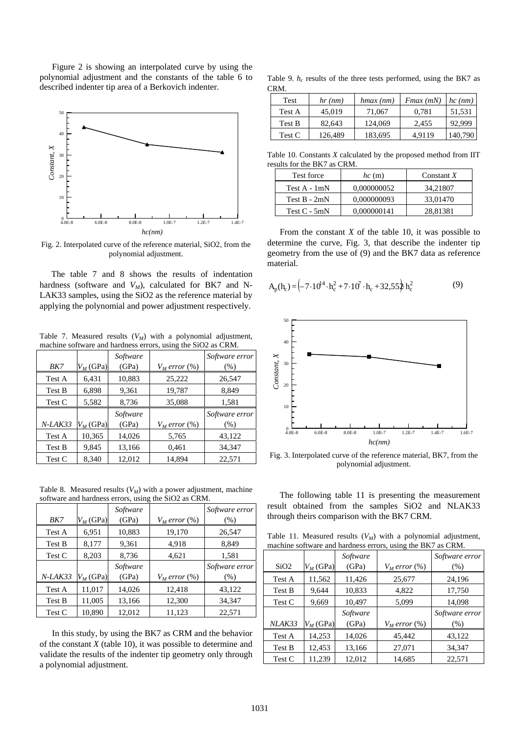Figure 2 is showing an interpolated curve by using the polynomial adjustment and the constants of the table 6 to described indenter tip area of a Berkovich indenter.



Fig. 2. Interpolated curve of the reference material, SiO2, from the polynomial adjustment.

The table 7 and 8 shows the results of indentation hardness (software and  $V_M$ ), calculated for BK7 and N-LAK33 samples, using the SiO2 as the reference material by applying the polynomial and power adjustment respectively.

Table 7. Measured results  $(V_M)$  with a polynomial adjustment, machine software and hardness errors, using the SiO2 as CRM.

|           |             | Software |                    | Software error |
|-----------|-------------|----------|--------------------|----------------|
| BK7       | $V_M$ (GPa) | (GPa)    | $V_M$ error $(\%)$ | (% )           |
| Test A    | 6,431       | 10,883   | 25,222             | 26,547         |
| Test B    | 6,898       | 9,361    | 19,787             | 8,849          |
| Test C    | 5,582       | 8,736    | 35,088             | 1,581          |
|           |             |          |                    |                |
|           |             | Software |                    | Software error |
| $N-LAK33$ | $V_M$ (GPa) | (GPa)    | $V_M$ error $(\%)$ | (% )           |
| Test A    | 10,365      | 14,026   | 5,765              | 43,122         |
| Test B    | 9,845       | 13,166   | 0.461              | 34,347         |

Table 8. Measured results  $(V_M)$  with a power adjustment, machine software and hardness errors, using the SiO2 as CRM.

| BK7     | $V_M$ (GPa) | Software<br>(GPa) | $V_M$ error $(\%)$ | Software error<br>(% ) |
|---------|-------------|-------------------|--------------------|------------------------|
| Test A  | 6,951       | 10,883            | 19,170             | 26,547                 |
| Test B  | 8,177       | 9,361             | 4,918              | 8,849                  |
| Test C  | 8,203       | 8,736             | 4,621              | 1,581                  |
| N-LAK33 | $V_M$ (GPa) | Software<br>(GPa) | $V_M$ error $(\%)$ | Software error<br>(% ) |
| Test A  | 11,017      | 14,026            | 12,418             | 43,122                 |
| Test B  | 11,005      | 13,166            | 12,300             | 34,347                 |
| Test C  | 10,890      | 12,012            | 11,123             | 22,571                 |

In this study, by using the BK7 as CRM and the behavior of the constant *X* (table 10), it was possible to determine and validate the results of the indenter tip geometry only through a polynomial adjustment.

Table 9.  $h_c$  results of the three tests performed, using the BK7 as CRM.

| Test   | $hr$ (nm) | $h$ <i>max</i> $(nm)$ | $Fmax$ (mN) | $hc$ (nm) |
|--------|-----------|-----------------------|-------------|-----------|
| Test A | 45,019    | 71,067                | 0.781       | 51,531    |
| Test B | 82,643    | 124,069               | 2.455       | 92,999    |
| Test C | 126,489   | 183,695               | 4.9119      | 140,790   |

Table 10. Constants *X* calculated by the proposed method from IIT results for the BK7 as CRM.

| Test force     | $hc$ (m)    | Constant $X$ |
|----------------|-------------|--------------|
| Test A - 1mN   | 0.000000052 | 34,21807     |
| Test $B - 2mN$ | 0.000000093 | 33,01470     |
| Test $C - 5mN$ | 0.000000141 | 28.81381     |

From the constant  $X$  of the table 10, it was possible to determine the curve, Fig. 3, that describe the indenter tip geometry from the use of (9) and the BK7 data as reference material.

$$
A_p(h_c) = \left(-7.10^{4} \cdot h_c^2 + 7.10^7 \cdot h_c + 32.552 h_c^2\right)
$$
 (9)



Fig. 3. Interpolated curve of the reference material, BK7, from the polynomial adjustment.

The following table 11 is presenting the measurement result obtained from the samples SiO2 and NLAK33 through theirs comparison with the BK7 CRM.

Table 11. Measured results  $(V_M)$  with a polynomial adjustment, machine software and hardness errors, using the BK7 as CRM.

| SiO2   | $V_M$ (GPa) | Software<br>(GPa) | $V_M$ error $(\%)$ | Software error<br>(% ) |
|--------|-------------|-------------------|--------------------|------------------------|
| Test A | 11,562      | 11,426            | 25,677             | 24,196                 |
| Test B | 9.644       | 10,833            | 4,822              | 17,750                 |
| Test C | 9,669       | 10,497            | 5,099              | 14,098                 |
|        |             | Software          |                    | Software error         |
| NLAK33 | $V_M$ (GPa) | (GPa)             | $V_M$ error $(\%)$ | (% )                   |
| Test A | 14,253      | 14,026            | 45,442             | 43,122                 |
| Test B | 12,453      | 13,166            | 27,071             | 34,347                 |
| Test C | 11,239      | 12,012            | 14,685             | 22,571                 |